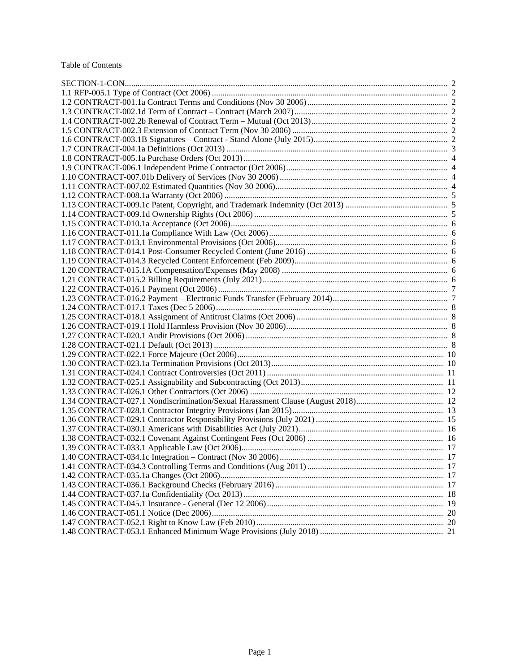### Table of Contents

| 1.40 CONTRACT-034.1c Integration - Contract (Nov 30 2006) | 17 |
|-----------------------------------------------------------|----|
|                                                           |    |
|                                                           |    |
|                                                           |    |
|                                                           |    |
|                                                           |    |
|                                                           |    |
|                                                           |    |
|                                                           |    |
|                                                           |    |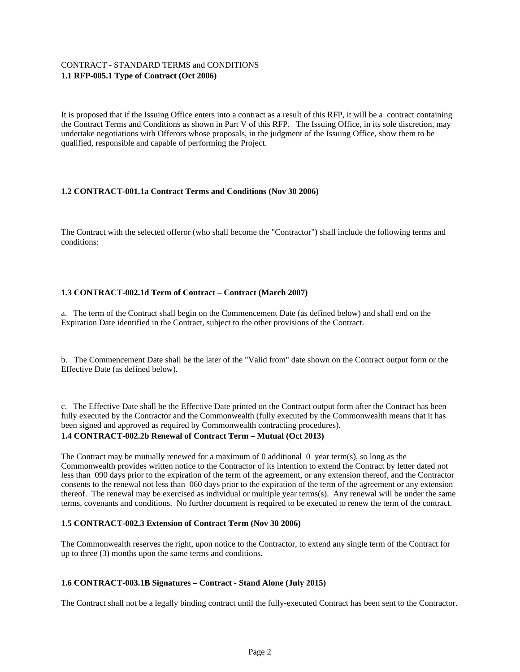# CONTRACT - STANDARD TERMS and CONDITIONS **1.1 RFP-005.1 Type of Contract (Oct 2006)**

It is proposed that if the Issuing Office enters into a contract as a result of this RFP, it will be a contract containing the Contract Terms and Conditions as shown in Part V of this RFP. The Issuing Office, in its sole discretion, may undertake negotiations with Offerors whose proposals, in the judgment of the Issuing Office, show them to be qualified, responsible and capable of performing the Project.

# **1.2 CONTRACT-001.1a Contract Terms and Conditions (Nov 30 2006)**

The Contract with the selected offeror (who shall become the "Contractor") shall include the following terms and conditions:

# **1.3 CONTRACT-002.1d Term of Contract – Contract (March 2007)**

a. The term of the Contract shall begin on the Commencement Date (as defined below) and shall end on the Expiration Date identified in the Contract, subject to the other provisions of the Contract.

b. The Commencement Date shall be the later of the "Valid from" date shown on the Contract output form or the Effective Date (as defined below).

c. The Effective Date shall be the Effective Date printed on the Contract output form after the Contract has been fully executed by the Contractor and the Commonwealth (fully executed by the Commonwealth means that it has been signed and approved as required by Commonwealth contracting procedures).

# **1.4 CONTRACT-002.2b Renewal of Contract Term – Mutual (Oct 2013)**

The Contract may be mutually renewed for a maximum of 0 additional  $\theta$  year term(s), so long as the Commonwealth provides written notice to the Contractor of its intention to extend the Contract by letter dated not less than 090 days prior to the expiration of the term of the agreement, or any extension thereof, and the Contractor consents to the renewal not less than 060 days prior to the expiration of the term of the agreement or any extension thereof. The renewal may be exercised as individual or multiple year terms(s). Any renewal will be under the same terms, covenants and conditions. No further document is required to be executed to renew the term of the contract.

# **1.5 CONTRACT-002.3 Extension of Contract Term (Nov 30 2006)**

The Commonwealth reserves the right, upon notice to the Contractor, to extend any single term of the Contract for up to three (3) months upon the same terms and conditions.

# **1.6 CONTRACT-003.1B Signatures – Contract - Stand Alone (July 2015)**

The Contract shall not be a legally binding contract until the fully-executed Contract has been sent to the Contractor.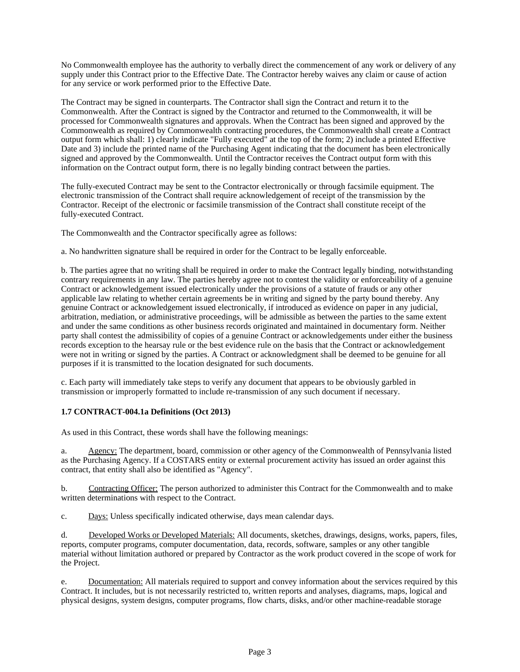No Commonwealth employee has the authority to verbally direct the commencement of any work or delivery of any supply under this Contract prior to the Effective Date. The Contractor hereby waives any claim or cause of action for any service or work performed prior to the Effective Date.

The Contract may be signed in counterparts. The Contractor shall sign the Contract and return it to the Commonwealth. After the Contract is signed by the Contractor and returned to the Commonwealth, it will be processed for Commonwealth signatures and approvals. When the Contract has been signed and approved by the Commonwealth as required by Commonwealth contracting procedures, the Commonwealth shall create a Contract output form which shall: 1) clearly indicate "Fully executed" at the top of the form; 2) include a printed Effective Date and 3) include the printed name of the Purchasing Agent indicating that the document has been electronically signed and approved by the Commonwealth. Until the Contractor receives the Contract output form with this information on the Contract output form, there is no legally binding contract between the parties.

The fully-executed Contract may be sent to the Contractor electronically or through facsimile equipment. The electronic transmission of the Contract shall require acknowledgement of receipt of the transmission by the Contractor. Receipt of the electronic or facsimile transmission of the Contract shall constitute receipt of the fully-executed Contract.

The Commonwealth and the Contractor specifically agree as follows:

a. No handwritten signature shall be required in order for the Contract to be legally enforceable.

b. The parties agree that no writing shall be required in order to make the Contract legally binding, notwithstanding contrary requirements in any law. The parties hereby agree not to contest the validity or enforceability of a genuine Contract or acknowledgement issued electronically under the provisions of a statute of frauds or any other applicable law relating to whether certain agreements be in writing and signed by the party bound thereby. Any genuine Contract or acknowledgement issued electronically, if introduced as evidence on paper in any judicial, arbitration, mediation, or administrative proceedings, will be admissible as between the parties to the same extent and under the same conditions as other business records originated and maintained in documentary form. Neither party shall contest the admissibility of copies of a genuine Contract or acknowledgements under either the business records exception to the hearsay rule or the best evidence rule on the basis that the Contract or acknowledgement were not in writing or signed by the parties. A Contract or acknowledgment shall be deemed to be genuine for all purposes if it is transmitted to the location designated for such documents.

c. Each party will immediately take steps to verify any document that appears to be obviously garbled in transmission or improperly formatted to include re-transmission of any such document if necessary.

# **1.7 CONTRACT-004.1a Definitions (Oct 2013)**

As used in this Contract, these words shall have the following meanings:

a. Agency: The department, board, commission or other agency of the Commonwealth of Pennsylvania listed as the Purchasing Agency. If a COSTARS entity or external procurement activity has issued an order against this contract, that entity shall also be identified as "Agency".

b. Contracting Officer: The person authorized to administer this Contract for the Commonwealth and to make written determinations with respect to the Contract.

c. Days: Unless specifically indicated otherwise, days mean calendar days.

d. Developed Works or Developed Materials: All documents, sketches, drawings, designs, works, papers, files, reports, computer programs, computer documentation, data, records, software, samples or any other tangible material without limitation authored or prepared by Contractor as the work product covered in the scope of work for the Project.

e. Documentation: All materials required to support and convey information about the services required by this Contract. It includes, but is not necessarily restricted to, written reports and analyses, diagrams, maps, logical and physical designs, system designs, computer programs, flow charts, disks, and/or other machine-readable storage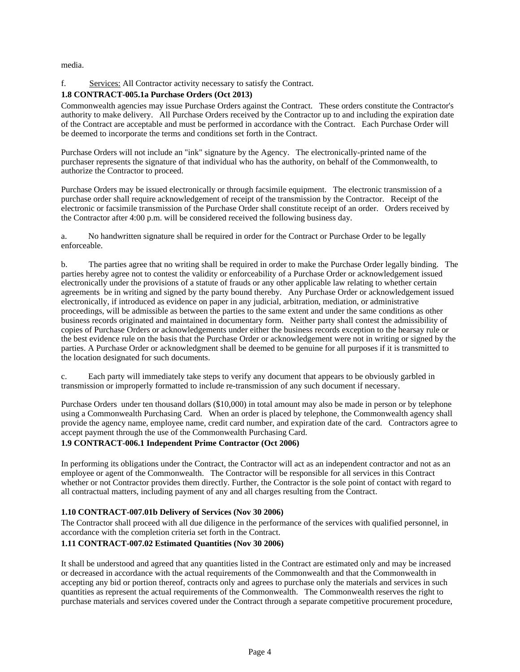media.

# f. Services: All Contractor activity necessary to satisfy the Contract.

# **1.8 CONTRACT-005.1a Purchase Orders (Oct 2013)**

Commonwealth agencies may issue Purchase Orders against the Contract. These orders constitute the Contractor's authority to make delivery. All Purchase Orders received by the Contractor up to and including the expiration date of the Contract are acceptable and must be performed in accordance with the Contract. Each Purchase Order will be deemed to incorporate the terms and conditions set forth in the Contract.

Purchase Orders will not include an "ink" signature by the Agency. The electronically-printed name of the purchaser represents the signature of that individual who has the authority, on behalf of the Commonwealth, to authorize the Contractor to proceed.

Purchase Orders may be issued electronically or through facsimile equipment. The electronic transmission of a purchase order shall require acknowledgement of receipt of the transmission by the Contractor. Receipt of the electronic or facsimile transmission of the Purchase Order shall constitute receipt of an order. Orders received by the Contractor after 4:00 p.m. will be considered received the following business day.

a. No handwritten signature shall be required in order for the Contract or Purchase Order to be legally enforceable.

b. The parties agree that no writing shall be required in order to make the Purchase Order legally binding. The parties hereby agree not to contest the validity or enforceability of a Purchase Order or acknowledgement issued electronically under the provisions of a statute of frauds or any other applicable law relating to whether certain agreements be in writing and signed by the party bound thereby. Any Purchase Order or acknowledgement issued electronically, if introduced as evidence on paper in any judicial, arbitration, mediation, or administrative proceedings, will be admissible as between the parties to the same extent and under the same conditions as other business records originated and maintained in documentary form. Neither party shall contest the admissibility of copies of Purchase Orders or acknowledgements under either the business records exception to the hearsay rule or the best evidence rule on the basis that the Purchase Order or acknowledgement were not in writing or signed by the parties. A Purchase Order or acknowledgment shall be deemed to be genuine for all purposes if it is transmitted to the location designated for such documents.

c. Each party will immediately take steps to verify any document that appears to be obviously garbled in transmission or improperly formatted to include re-transmission of any such document if necessary.

Purchase Orders under ten thousand dollars (\$10,000) in total amount may also be made in person or by telephone using a Commonwealth Purchasing Card. When an order is placed by telephone, the Commonwealth agency shall provide the agency name, employee name, credit card number, and expiration date of the card. Contractors agree to accept payment through the use of the Commonwealth Purchasing Card.

# **1.9 CONTRACT-006.1 Independent Prime Contractor (Oct 2006)**

In performing its obligations under the Contract, the Contractor will act as an independent contractor and not as an employee or agent of the Commonwealth. The Contractor will be responsible for all services in this Contract whether or not Contractor provides them directly. Further, the Contractor is the sole point of contact with regard to all contractual matters, including payment of any and all charges resulting from the Contract.

# **1.10 CONTRACT-007.01b Delivery of Services (Nov 30 2006)**

The Contractor shall proceed with all due diligence in the performance of the services with qualified personnel, in accordance with the completion criteria set forth in the Contract.

# **1.11 CONTRACT-007.02 Estimated Quantities (Nov 30 2006)**

It shall be understood and agreed that any quantities listed in the Contract are estimated only and may be increased or decreased in accordance with the actual requirements of the Commonwealth and that the Commonwealth in accepting any bid or portion thereof, contracts only and agrees to purchase only the materials and services in such quantities as represent the actual requirements of the Commonwealth. The Commonwealth reserves the right to purchase materials and services covered under the Contract through a separate competitive procurement procedure,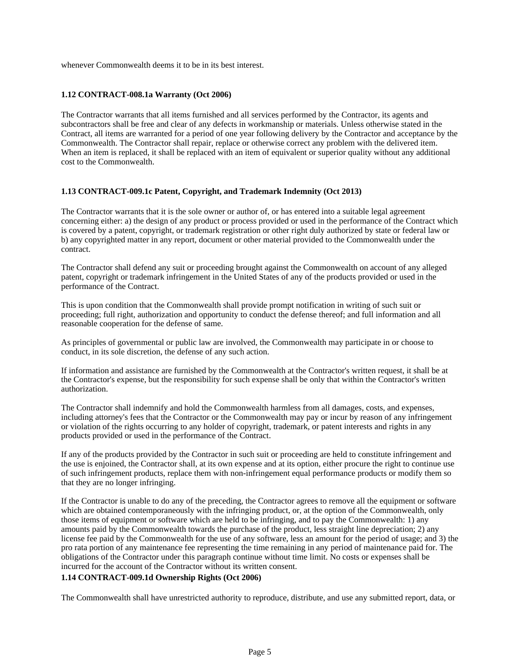whenever Commonwealth deems it to be in its best interest.

### **1.12 CONTRACT-008.1a Warranty (Oct 2006)**

The Contractor warrants that all items furnished and all services performed by the Contractor, its agents and subcontractors shall be free and clear of any defects in workmanship or materials. Unless otherwise stated in the Contract, all items are warranted for a period of one year following delivery by the Contractor and acceptance by the Commonwealth. The Contractor shall repair, replace or otherwise correct any problem with the delivered item. When an item is replaced, it shall be replaced with an item of equivalent or superior quality without any additional cost to the Commonwealth.

### **1.13 CONTRACT-009.1c Patent, Copyright, and Trademark Indemnity (Oct 2013)**

The Contractor warrants that it is the sole owner or author of, or has entered into a suitable legal agreement concerning either: a) the design of any product or process provided or used in the performance of the Contract which is covered by a patent, copyright, or trademark registration or other right duly authorized by state or federal law or b) any copyrighted matter in any report, document or other material provided to the Commonwealth under the contract.

The Contractor shall defend any suit or proceeding brought against the Commonwealth on account of any alleged patent, copyright or trademark infringement in the United States of any of the products provided or used in the performance of the Contract.

This is upon condition that the Commonwealth shall provide prompt notification in writing of such suit or proceeding; full right, authorization and opportunity to conduct the defense thereof; and full information and all reasonable cooperation for the defense of same.

As principles of governmental or public law are involved, the Commonwealth may participate in or choose to conduct, in its sole discretion, the defense of any such action.

If information and assistance are furnished by the Commonwealth at the Contractor's written request, it shall be at the Contractor's expense, but the responsibility for such expense shall be only that within the Contractor's written authorization.

The Contractor shall indemnify and hold the Commonwealth harmless from all damages, costs, and expenses, including attorney's fees that the Contractor or the Commonwealth may pay or incur by reason of any infringement or violation of the rights occurring to any holder of copyright, trademark, or patent interests and rights in any products provided or used in the performance of the Contract.

If any of the products provided by the Contractor in such suit or proceeding are held to constitute infringement and the use is enjoined, the Contractor shall, at its own expense and at its option, either procure the right to continue use of such infringement products, replace them with non-infringement equal performance products or modify them so that they are no longer infringing.

If the Contractor is unable to do any of the preceding, the Contractor agrees to remove all the equipment or software which are obtained contemporaneously with the infringing product, or, at the option of the Commonwealth, only those items of equipment or software which are held to be infringing, and to pay the Commonwealth: 1) any amounts paid by the Commonwealth towards the purchase of the product, less straight line depreciation; 2) any license fee paid by the Commonwealth for the use of any software, less an amount for the period of usage; and 3) the pro rata portion of any maintenance fee representing the time remaining in any period of maintenance paid for. The obligations of the Contractor under this paragraph continue without time limit. No costs or expenses shall be incurred for the account of the Contractor without its written consent.

### **1.14 CONTRACT-009.1d Ownership Rights (Oct 2006)**

The Commonwealth shall have unrestricted authority to reproduce, distribute, and use any submitted report, data, or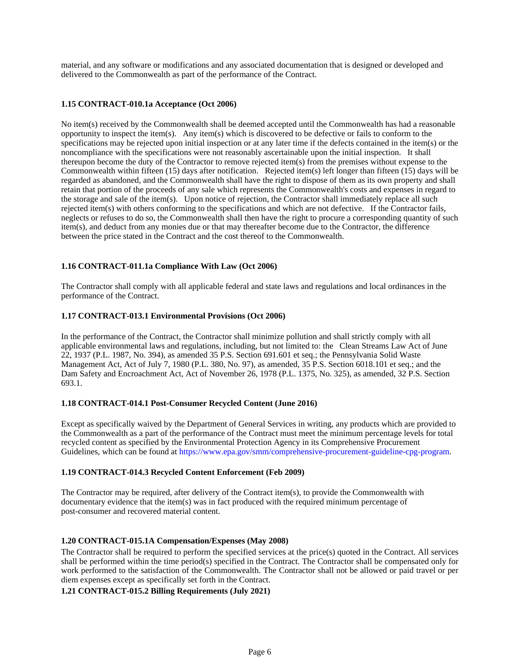material, and any software or modifications and any associated documentation that is designed or developed and delivered to the Commonwealth as part of the performance of the Contract.

### **1.15 CONTRACT-010.1a Acceptance (Oct 2006)**

No item(s) received by the Commonwealth shall be deemed accepted until the Commonwealth has had a reasonable opportunity to inspect the item(s). Any item(s) which is discovered to be defective or fails to conform to the specifications may be rejected upon initial inspection or at any later time if the defects contained in the item(s) or the noncompliance with the specifications were not reasonably ascertainable upon the initial inspection. It shall thereupon become the duty of the Contractor to remove rejected item(s) from the premises without expense to the Commonwealth within fifteen (15) days after notification. Rejected item(s) left longer than fifteen (15) days will be regarded as abandoned, and the Commonwealth shall have the right to dispose of them as its own property and shall retain that portion of the proceeds of any sale which represents the Commonwealth's costs and expenses in regard to the storage and sale of the item(s). Upon notice of rejection, the Contractor shall immediately replace all such rejected item(s) with others conforming to the specifications and which are not defective. If the Contractor fails, neglects or refuses to do so, the Commonwealth shall then have the right to procure a corresponding quantity of such item(s), and deduct from any monies due or that may thereafter become due to the Contractor, the difference between the price stated in the Contract and the cost thereof to the Commonwealth.

# **1.16 CONTRACT-011.1a Compliance With Law (Oct 2006)**

The Contractor shall comply with all applicable federal and state laws and regulations and local ordinances in the performance of the Contract.

### **1.17 CONTRACT-013.1 Environmental Provisions (Oct 2006)**

In the performance of the Contract, the Contractor shall minimize pollution and shall strictly comply with all applicable environmental laws and regulations, including, but not limited to: the Clean Streams Law Act of June 22, 1937 (P.L. 1987, No. 394), as amended 35 P.S. Section 691.601 et seq.; the Pennsylvania Solid Waste Management Act, Act of July 7, 1980 (P.L. 380, No. 97), as amended, 35 P.S. Section 6018.101 et seq.; and the Dam Safety and Encroachment Act, Act of November 26, 1978 (P.L. 1375, No. 325), as amended, 32 P.S. Section 693.1.

### **1.18 CONTRACT-014.1 Post-Consumer Recycled Content (June 2016)**

Except as specifically waived by the Department of General Services in writing, any products which are provided to the Commonwealth as a part of the performance of the Contract must meet the minimum percentage levels for total recycled content as specified by the Environmental Protection Agency in its Comprehensive Procurement Guidelines, which can be found at https://www.epa.gov/smm/comprehensive-procurement-guideline-cpg-program.

# **1.19 CONTRACT-014.3 Recycled Content Enforcement (Feb 2009)**

The Contractor may be required, after delivery of the Contract item(s), to provide the Commonwealth with documentary evidence that the item(s) was in fact produced with the required minimum percentage of post-consumer and recovered material content.

### **1.20 CONTRACT-015.1A Compensation/Expenses (May 2008)**

The Contractor shall be required to perform the specified services at the price(s) quoted in the Contract. All services shall be performed within the time period(s) specified in the Contract. The Contractor shall be compensated only for work performed to the satisfaction of the Commonwealth. The Contractor shall not be allowed or paid travel or per diem expenses except as specifically set forth in the Contract.

**1.21 CONTRACT-015.2 Billing Requirements (July 2021)**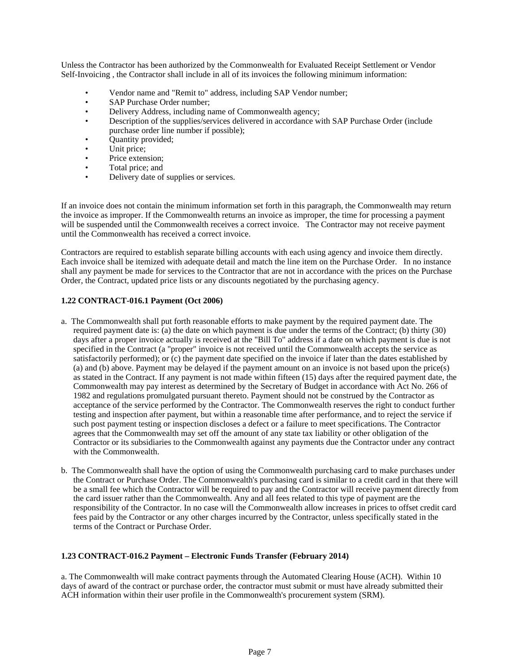Unless the Contractor has been authorized by the Commonwealth for Evaluated Receipt Settlement or Vendor Self-Invoicing , the Contractor shall include in all of its invoices the following minimum information:

- Vendor name and "Remit to" address, including SAP Vendor number;
- SAP Purchase Order number;
- Delivery Address, including name of Commonwealth agency;
- Description of the supplies/services delivered in accordance with SAP Purchase Order (include purchase order line number if possible);
- Quantity provided;
- Unit price;
- Price extension;
- Total price; and
- Delivery date of supplies or services.

If an invoice does not contain the minimum information set forth in this paragraph, the Commonwealth may return the invoice as improper. If the Commonwealth returns an invoice as improper, the time for processing a payment will be suspended until the Commonwealth receives a correct invoice. The Contractor may not receive payment until the Commonwealth has received a correct invoice.

Contractors are required to establish separate billing accounts with each using agency and invoice them directly. Each invoice shall be itemized with adequate detail and match the line item on the Purchase Order. In no instance shall any payment be made for services to the Contractor that are not in accordance with the prices on the Purchase Order, the Contract, updated price lists or any discounts negotiated by the purchasing agency.

# **1.22 CONTRACT-016.1 Payment (Oct 2006)**

- a. The Commonwealth shall put forth reasonable efforts to make payment by the required payment date. The required payment date is: (a) the date on which payment is due under the terms of the Contract; (b) thirty (30) days after a proper invoice actually is received at the "Bill To" address if a date on which payment is due is not specified in the Contract (a "proper" invoice is not received until the Commonwealth accepts the service as satisfactorily performed); or (c) the payment date specified on the invoice if later than the dates established by (a) and (b) above. Payment may be delayed if the payment amount on an invoice is not based upon the price(s) as stated in the Contract. If any payment is not made within fifteen (15) days after the required payment date, the Commonwealth may pay interest as determined by the Secretary of Budget in accordance with Act No. 266 of 1982 and regulations promulgated pursuant thereto. Payment should not be construed by the Contractor as acceptance of the service performed by the Contractor. The Commonwealth reserves the right to conduct further testing and inspection after payment, but within a reasonable time after performance, and to reject the service if such post payment testing or inspection discloses a defect or a failure to meet specifications. The Contractor agrees that the Commonwealth may set off the amount of any state tax liability or other obligation of the Contractor or its subsidiaries to the Commonwealth against any payments due the Contractor under any contract with the Commonwealth.
- b. The Commonwealth shall have the option of using the Commonwealth purchasing card to make purchases under the Contract or Purchase Order. The Commonwealth's purchasing card is similar to a credit card in that there will be a small fee which the Contractor will be required to pay and the Contractor will receive payment directly from the card issuer rather than the Commonwealth. Any and all fees related to this type of payment are the responsibility of the Contractor. In no case will the Commonwealth allow increases in prices to offset credit card fees paid by the Contractor or any other charges incurred by the Contractor, unless specifically stated in the terms of the Contract or Purchase Order.

### **1.23 CONTRACT-016.2 Payment – Electronic Funds Transfer (February 2014)**

a. The Commonwealth will make contract payments through the Automated Clearing House (ACH). Within 10 days of award of the contract or purchase order, the contractor must submit or must have already submitted their ACH information within their user profile in the Commonwealth's procurement system (SRM).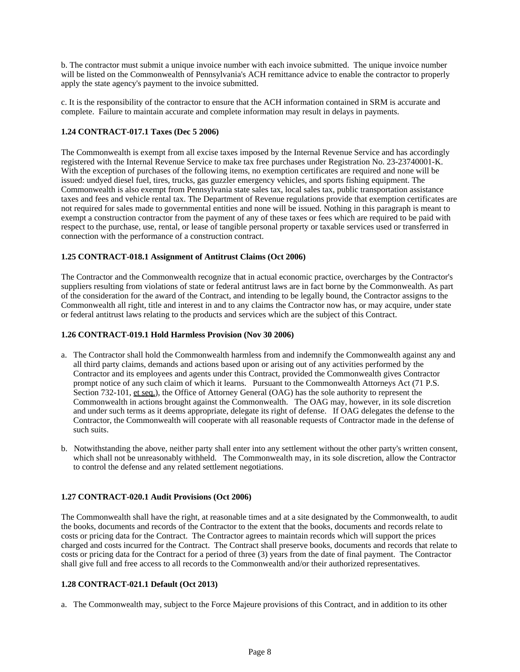b. The contractor must submit a unique invoice number with each invoice submitted. The unique invoice number will be listed on the Commonwealth of Pennsylvania's ACH remittance advice to enable the contractor to properly apply the state agency's payment to the invoice submitted.

c. It is the responsibility of the contractor to ensure that the ACH information contained in SRM is accurate and complete. Failure to maintain accurate and complete information may result in delays in payments.

# **1.24 CONTRACT-017.1 Taxes (Dec 5 2006)**

The Commonwealth is exempt from all excise taxes imposed by the Internal Revenue Service and has accordingly registered with the Internal Revenue Service to make tax free purchases under Registration No. 23-23740001-K. With the exception of purchases of the following items, no exemption certificates are required and none will be issued: undyed diesel fuel, tires, trucks, gas guzzler emergency vehicles, and sports fishing equipment. The Commonwealth is also exempt from Pennsylvania state sales tax, local sales tax, public transportation assistance taxes and fees and vehicle rental tax. The Department of Revenue regulations provide that exemption certificates are not required for sales made to governmental entities and none will be issued. Nothing in this paragraph is meant to exempt a construction contractor from the payment of any of these taxes or fees which are required to be paid with respect to the purchase, use, rental, or lease of tangible personal property or taxable services used or transferred in connection with the performance of a construction contract.

### **1.25 CONTRACT-018.1 Assignment of Antitrust Claims (Oct 2006)**

The Contractor and the Commonwealth recognize that in actual economic practice, overcharges by the Contractor's suppliers resulting from violations of state or federal antitrust laws are in fact borne by the Commonwealth. As part of the consideration for the award of the Contract, and intending to be legally bound, the Contractor assigns to the Commonwealth all right, title and interest in and to any claims the Contractor now has, or may acquire, under state or federal antitrust laws relating to the products and services which are the subject of this Contract.

### **1.26 CONTRACT-019.1 Hold Harmless Provision (Nov 30 2006)**

- a. The Contractor shall hold the Commonwealth harmless from and indemnify the Commonwealth against any and all third party claims, demands and actions based upon or arising out of any activities performed by the Contractor and its employees and agents under this Contract, provided the Commonwealth gives Contractor prompt notice of any such claim of which it learns. Pursuant to the Commonwealth Attorneys Act (71 P.S. Section 732-101, et seq.), the Office of Attorney General (OAG) has the sole authority to represent the Commonwealth in actions brought against the Commonwealth. The OAG may, however, in its sole discretion and under such terms as it deems appropriate, delegate its right of defense. If OAG delegates the defense to the Contractor, the Commonwealth will cooperate with all reasonable requests of Contractor made in the defense of such suits.
- b. Notwithstanding the above, neither party shall enter into any settlement without the other party's written consent, which shall not be unreasonably withheld. The Commonwealth may, in its sole discretion, allow the Contractor to control the defense and any related settlement negotiations.

# **1.27 CONTRACT-020.1 Audit Provisions (Oct 2006)**

The Commonwealth shall have the right, at reasonable times and at a site designated by the Commonwealth, to audit the books, documents and records of the Contractor to the extent that the books, documents and records relate to costs or pricing data for the Contract. The Contractor agrees to maintain records which will support the prices charged and costs incurred for the Contract. The Contract shall preserve books, documents and records that relate to costs or pricing data for the Contract for a period of three (3) years from the date of final payment. The Contractor shall give full and free access to all records to the Commonwealth and/or their authorized representatives.

### **1.28 CONTRACT-021.1 Default (Oct 2013)**

a. The Commonwealth may, subject to the Force Majeure provisions of this Contract, and in addition to its other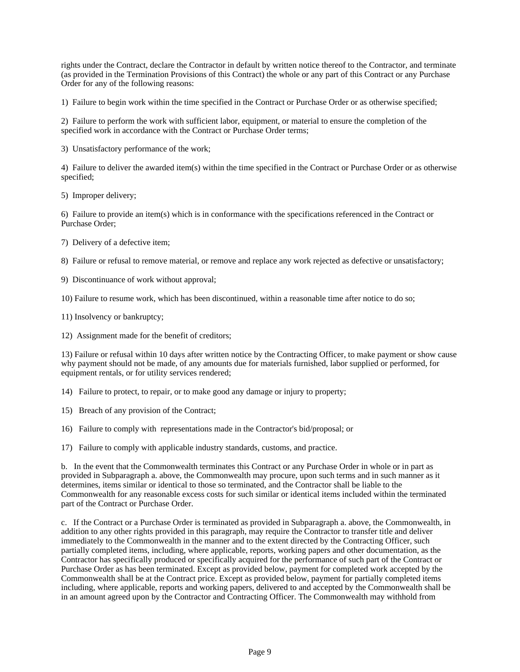rights under the Contract, declare the Contractor in default by written notice thereof to the Contractor, and terminate (as provided in the Termination Provisions of this Contract) the whole or any part of this Contract or any Purchase Order for any of the following reasons:

1) Failure to begin work within the time specified in the Contract or Purchase Order or as otherwise specified;

2) Failure to perform the work with sufficient labor, equipment, or material to ensure the completion of the specified work in accordance with the Contract or Purchase Order terms;

3) Unsatisfactory performance of the work;

4) Failure to deliver the awarded item(s) within the time specified in the Contract or Purchase Order or as otherwise specified;

5) Improper delivery;

6) Failure to provide an item(s) which is in conformance with the specifications referenced in the Contract or Purchase Order;

7) Delivery of a defective item;

8) Failure or refusal to remove material, or remove and replace any work rejected as defective or unsatisfactory;

9) Discontinuance of work without approval;

10) Failure to resume work, which has been discontinued, within a reasonable time after notice to do so;

11) Insolvency or bankruptcy;

12) Assignment made for the benefit of creditors;

13) Failure or refusal within 10 days after written notice by the Contracting Officer, to make payment or show cause why payment should not be made, of any amounts due for materials furnished, labor supplied or performed, for equipment rentals, or for utility services rendered;

14) Failure to protect, to repair, or to make good any damage or injury to property;

15) Breach of any provision of the Contract;

16) Failure to comply with representations made in the Contractor's bid/proposal; or

17) Failure to comply with applicable industry standards, customs, and practice.

b. In the event that the Commonwealth terminates this Contract or any Purchase Order in whole or in part as provided in Subparagraph a. above, the Commonwealth may procure, upon such terms and in such manner as it determines, items similar or identical to those so terminated, and the Contractor shall be liable to the Commonwealth for any reasonable excess costs for such similar or identical items included within the terminated part of the Contract or Purchase Order.

c. If the Contract or a Purchase Order is terminated as provided in Subparagraph a. above, the Commonwealth, in addition to any other rights provided in this paragraph, may require the Contractor to transfer title and deliver immediately to the Commonwealth in the manner and to the extent directed by the Contracting Officer, such partially completed items, including, where applicable, reports, working papers and other documentation, as the Contractor has specifically produced or specifically acquired for the performance of such part of the Contract or Purchase Order as has been terminated. Except as provided below, payment for completed work accepted by the Commonwealth shall be at the Contract price. Except as provided below, payment for partially completed items including, where applicable, reports and working papers, delivered to and accepted by the Commonwealth shall be in an amount agreed upon by the Contractor and Contracting Officer. The Commonwealth may withhold from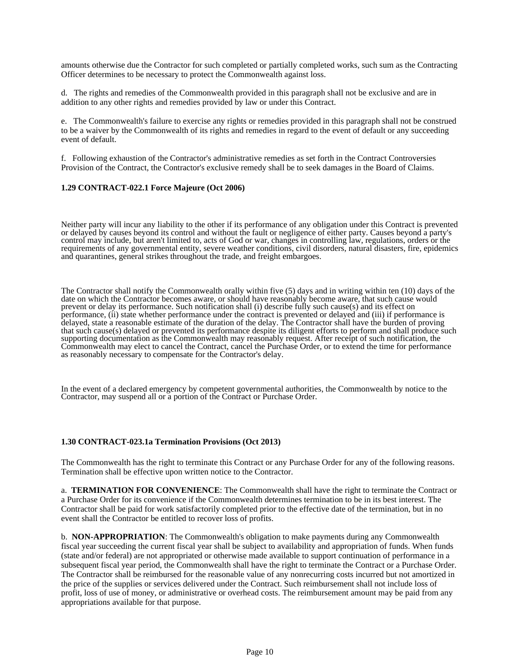amounts otherwise due the Contractor for such completed or partially completed works, such sum as the Contracting Officer determines to be necessary to protect the Commonwealth against loss.

d. The rights and remedies of the Commonwealth provided in this paragraph shall not be exclusive and are in addition to any other rights and remedies provided by law or under this Contract.

e. The Commonwealth's failure to exercise any rights or remedies provided in this paragraph shall not be construed to be a waiver by the Commonwealth of its rights and remedies in regard to the event of default or any succeeding event of default.

f. Following exhaustion of the Contractor's administrative remedies as set forth in the Contract Controversies Provision of the Contract, the Contractor's exclusive remedy shall be to seek damages in the Board of Claims.

### **1.29 CONTRACT-022.1 Force Majeure (Oct 2006)**

Neither party will incur any liability to the other if its performance of any obligation under this Contract is prevented or delayed by causes beyond its control and without the fault or negligence of either party. Causes beyond a party's control may include, but aren't limited to, acts of God or war, changes in controlling law, regulations, orders or the requirements of any governmental entity, severe weather conditions, civil disorders, natural disasters, fire, epidemics and quarantines, general strikes throughout the trade, and freight embargoes.

The Contractor shall notify the Commonwealth orally within five (5) days and in writing within ten (10) days of the date on which the Contractor becomes aware, or should have reasonably become aware, that such cause would prevent or delay its performance. Such notification shall (i) describe fully such cause(s) and its effect on performance, (ii) state whether performance under the contract is prevented or delayed and (iii) if performance is delayed, state a reasonable estimate of the duration of the delay. The Contractor shall have the burden of proving that such cause(s) delayed or prevented its performance despite its diligent efforts to perform and shall produce such supporting documentation as the Commonwealth may reasonably request. After receipt of such notification, the Commonwealth may elect to cancel the Contract, cancel the Purchase Order, or to extend the time for performance as reasonably necessary to compensate for the Contractor's delay.

In the event of a declared emergency by competent governmental authorities, the Commonwealth by notice to the Contractor, may suspend all or a portion of the Contract or Purchase Order.

### **1.30 CONTRACT-023.1a Termination Provisions (Oct 2013)**

The Commonwealth has the right to terminate this Contract or any Purchase Order for any of the following reasons. Termination shall be effective upon written notice to the Contractor.

a. **TERMINATION FOR CONVENIENCE**: The Commonwealth shall have the right to terminate the Contract or a Purchase Order for its convenience if the Commonwealth determines termination to be in its best interest. The Contractor shall be paid for work satisfactorily completed prior to the effective date of the termination, but in no event shall the Contractor be entitled to recover loss of profits.

b. **NON-APPROPRIATION**: The Commonwealth's obligation to make payments during any Commonwealth fiscal year succeeding the current fiscal year shall be subject to availability and appropriation of funds. When funds (state and/or federal) are not appropriated or otherwise made available to support continuation of performance in a subsequent fiscal year period, the Commonwealth shall have the right to terminate the Contract or a Purchase Order. The Contractor shall be reimbursed for the reasonable value of any nonrecurring costs incurred but not amortized in the price of the supplies or services delivered under the Contract. Such reimbursement shall not include loss of profit, loss of use of money, or administrative or overhead costs. The reimbursement amount may be paid from any appropriations available for that purpose.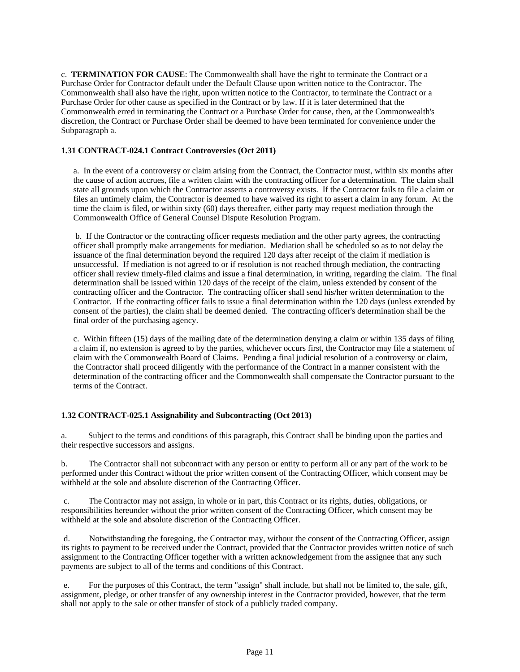c. **TERMINATION FOR CAUSE**: The Commonwealth shall have the right to terminate the Contract or a Purchase Order for Contractor default under the Default Clause upon written notice to the Contractor. The Commonwealth shall also have the right, upon written notice to the Contractor, to terminate the Contract or a Purchase Order for other cause as specified in the Contract or by law. If it is later determined that the Commonwealth erred in terminating the Contract or a Purchase Order for cause, then, at the Commonwealth's discretion, the Contract or Purchase Order shall be deemed to have been terminated for convenience under the Subparagraph a.

### **1.31 CONTRACT-024.1 Contract Controversies (Oct 2011)**

a. In the event of a controversy or claim arising from the Contract, the Contractor must, within six months after the cause of action accrues, file a written claim with the contracting officer for a determination. The claim shall state all grounds upon which the Contractor asserts a controversy exists. If the Contractor fails to file a claim or files an untimely claim, the Contractor is deemed to have waived its right to assert a claim in any forum. At the time the claim is filed, or within sixty (60) days thereafter, either party may request mediation through the Commonwealth Office of General Counsel Dispute Resolution Program.

b. If the Contractor or the contracting officer requests mediation and the other party agrees, the contracting officer shall promptly make arrangements for mediation. Mediation shall be scheduled so as to not delay the issuance of the final determination beyond the required 120 days after receipt of the claim if mediation is unsuccessful. If mediation is not agreed to or if resolution is not reached through mediation, the contracting officer shall review timely-filed claims and issue a final determination, in writing, regarding the claim. The final determination shall be issued within 120 days of the receipt of the claim, unless extended by consent of the contracting officer and the Contractor. The contracting officer shall send his/her written determination to the Contractor. If the contracting officer fails to issue a final determination within the 120 days (unless extended by consent of the parties), the claim shall be deemed denied. The contracting officer's determination shall be the final order of the purchasing agency.

c. Within fifteen (15) days of the mailing date of the determination denying a claim or within 135 days of filing a claim if, no extension is agreed to by the parties, whichever occurs first, the Contractor may file a statement of claim with the Commonwealth Board of Claims. Pending a final judicial resolution of a controversy or claim, the Contractor shall proceed diligently with the performance of the Contract in a manner consistent with the determination of the contracting officer and the Commonwealth shall compensate the Contractor pursuant to the terms of the Contract.

# **1.32 CONTRACT-025.1 Assignability and Subcontracting (Oct 2013)**

a. Subject to the terms and conditions of this paragraph, this Contract shall be binding upon the parties and their respective successors and assigns.

b. The Contractor shall not subcontract with any person or entity to perform all or any part of the work to be performed under this Contract without the prior written consent of the Contracting Officer, which consent may be withheld at the sole and absolute discretion of the Contracting Officer.

c. The Contractor may not assign, in whole or in part, this Contract or its rights, duties, obligations, or responsibilities hereunder without the prior written consent of the Contracting Officer, which consent may be withheld at the sole and absolute discretion of the Contracting Officer.

d. Notwithstanding the foregoing, the Contractor may, without the consent of the Contracting Officer, assign its rights to payment to be received under the Contract, provided that the Contractor provides written notice of such assignment to the Contracting Officer together with a written acknowledgement from the assignee that any such payments are subject to all of the terms and conditions of this Contract.

e. For the purposes of this Contract, the term "assign" shall include, but shall not be limited to, the sale, gift, assignment, pledge, or other transfer of any ownership interest in the Contractor provided, however, that the term shall not apply to the sale or other transfer of stock of a publicly traded company.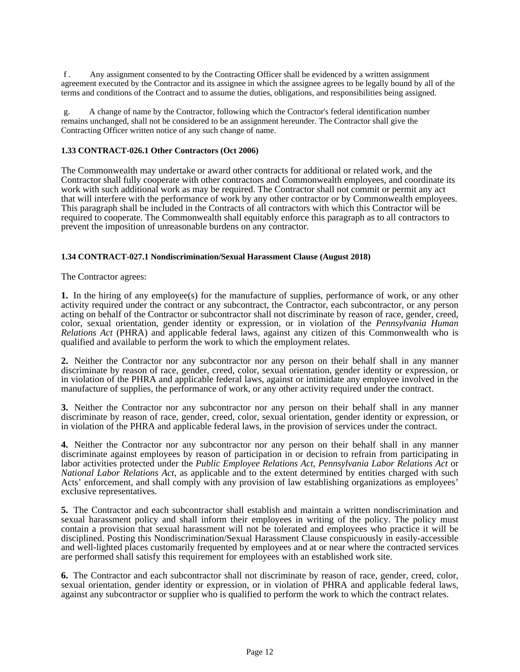f . Any assignment consented to by the Contracting Officer shall be evidenced by a written assignment agreement executed by the Contractor and its assignee in which the assignee agrees to be legally bound by all of the terms and conditions of the Contract and to assume the duties, obligations, and responsibilities being assigned.

g. A change of name by the Contractor, following which the Contractor's federal identification number remains unchanged, shall not be considered to be an assignment hereunder. The Contractor shall give the Contracting Officer written notice of any such change of name.

### **1.33 CONTRACT-026.1 Other Contractors (Oct 2006)**

The Commonwealth may undertake or award other contracts for additional or related work, and the Contractor shall fully cooperate with other contractors and Commonwealth employees, and coordinate its work with such additional work as may be required. The Contractor shall not commit or permit any act that will interfere with the performance of work by any other contractor or by Commonwealth employees. This paragraph shall be included in the Contracts of all contractors with which this Contractor will be required to cooperate. The Commonwealth shall equitably enforce this paragraph as to all contractors to prevent the imposition of unreasonable burdens on any contractor.

### **1.34 CONTRACT-027.1 Nondiscrimination/Sexual Harassment Clause (August 2018)**

The Contractor agrees:

**1.** In the hiring of any employee(s) for the manufacture of supplies, performance of work, or any other activity required under the contract or any subcontract, the Contractor, each subcontractor, or any person acting on behalf of the Contractor or subcontractor shall not discriminate by reason of race, gender, creed, color, sexual orientation, gender identity or expression, or in violation of the *Pennsylvania Human Relations Act* (PHRA) and applicable federal laws, against any citizen of this Commonwealth who is qualified and available to perform the work to which the employment relates.

**2.** Neither the Contractor nor any subcontractor nor any person on their behalf shall in any manner discriminate by reason of race, gender, creed, color, sexual orientation, gender identity or expression, or in violation of the PHRA and applicable federal laws, against or intimidate any employee involved in the manufacture of supplies, the performance of work, or any other activity required under the contract.

**3.** Neither the Contractor nor any subcontractor nor any person on their behalf shall in any manner discriminate by reason of race, gender, creed, color, sexual orientation, gender identity or expression, or in violation of the PHRA and applicable federal laws, in the provision of services under the contract.

**4.** Neither the Contractor nor any subcontractor nor any person on their behalf shall in any manner discriminate against employees by reason of participation in or decision to refrain from participating in labor activities protected under the *Public Employee Relations Act*, *Pennsylvania Labor Relations Act* or *National Labor Relations Act,* as applicable and to the extent determined by entities charged with such Acts' enforcement, and shall comply with any provision of law establishing organizations as employees' exclusive representatives.

**5.** The Contractor and each subcontractor shall establish and maintain a written nondiscrimination and sexual harassment policy and shall inform their employees in writing of the policy. The policy must contain a provision that sexual harassment will not be tolerated and employees who practice it will be disciplined. Posting this Nondiscrimination/Sexual Harassment Clause conspicuously in easily-accessible and well-lighted places customarily frequented by employees and at or near where the contracted services are performed shall satisfy this requirement for employees with an established work site.

**6.** The Contractor and each subcontractor shall not discriminate by reason of race, gender, creed, color, sexual orientation, gender identity or expression, or in violation of PHRA and applicable federal laws, against any subcontractor or supplier who is qualified to perform the work to which the contract relates.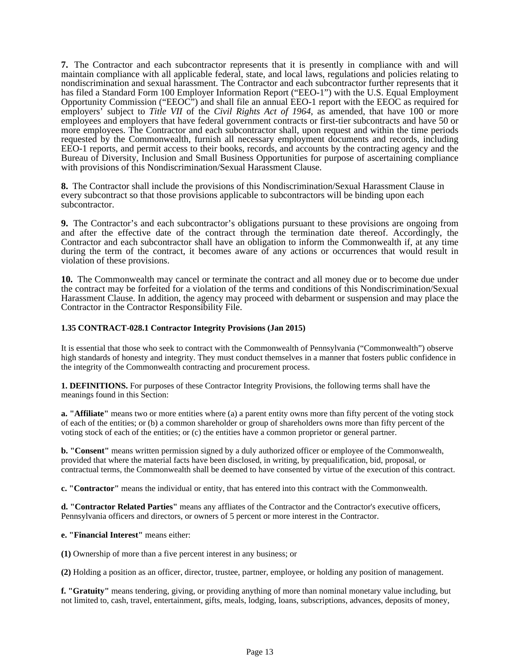**7.** The Contractor and each subcontractor represents that it is presently in compliance with and will maintain compliance with all applicable federal, state, and local laws, regulations and policies relating to nondiscrimination and sexual harassment. The Contractor and each subcontractor further represents that it has filed a Standard Form 100 Employer Information Report ("EEO-1") with the U.S. Equal Employment Opportunity Commission ("EEOC") and shall file an annual EEO-1 report with the EEOC as required for employers' subject to *Title VII* of the *Civil Rights Act of 1964*, as amended, that have 100 or more employees and employers that have federal government contracts or first-tier subcontracts and have 50 or more employees. The Contractor and each subcontractor shall, upon request and within the time periods requested by the Commonwealth, furnish all necessary employment documents and records, including EEO-1 reports, and permit access to their books, records, and accounts by the contracting agency and the Bureau of Diversity, Inclusion and Small Business Opportunities for purpose of ascertaining compliance with provisions of this Nondiscrimination/Sexual Harassment Clause.

**8.** The Contractor shall include the provisions of this Nondiscrimination/Sexual Harassment Clause in every subcontract so that those provisions applicable to subcontractors will be binding upon each subcontractor.

**9.** The Contractor's and each subcontractor's obligations pursuant to these provisions are ongoing from and after the effective date of the contract through the termination date thereof. Accordingly, the Contractor and each subcontractor shall have an obligation to inform the Commonwealth if, at any time during the term of the contract, it becomes aware of any actions or occurrences that would result in violation of these provisions.

**10.** The Commonwealth may cancel or terminate the contract and all money due or to become due under the contract may be forfeited for a violation of the terms and conditions of this Nondiscrimination/Sexual Harassment Clause. In addition, the agency may proceed with debarment or suspension and may place the Contractor in the Contractor Responsibility File.

# **1.35 CONTRACT-028.1 Contractor Integrity Provisions (Jan 2015)**

It is essential that those who seek to contract with the Commonwealth of Pennsylvania ("Commonwealth") observe high standards of honesty and integrity. They must conduct themselves in a manner that fosters public confidence in the integrity of the Commonwealth contracting and procurement process.

**1. DEFINITIONS.** For purposes of these Contractor Integrity Provisions, the following terms shall have the meanings found in this Section:

**a. "Affiliate"** means two or more entities where (a) a parent entity owns more than fifty percent of the voting stock of each of the entities; or (b) a common shareholder or group of shareholders owns more than fifty percent of the voting stock of each of the entities; or (c) the entities have a common proprietor or general partner.

**b. "Consent"** means written permission signed by a duly authorized officer or employee of the Commonwealth, provided that where the material facts have been disclosed, in writing, by prequalification, bid, proposal, or contractual terms, the Commonwealth shall be deemed to have consented by virtue of the execution of this contract.

**c. "Contractor"** means the individual or entity, that has entered into this contract with the Commonwealth.

**d. "Contractor Related Parties"** means any affliates of the Contractor and the Contractor's executive officers, Pennsylvania officers and directors, or owners of 5 percent or more interest in the Contractor.

**e. "Financial Interest"** means either:

**(1)** Ownership of more than a five percent interest in any business; or

**(2)** Holding a position as an officer, director, trustee, partner, employee, or holding any position of management.

**f. "Gratuity"** means tendering, giving, or providing anything of more than nominal monetary value including, but not limited to, cash, travel, entertainment, gifts, meals, lodging, loans, subscriptions, advances, deposits of money,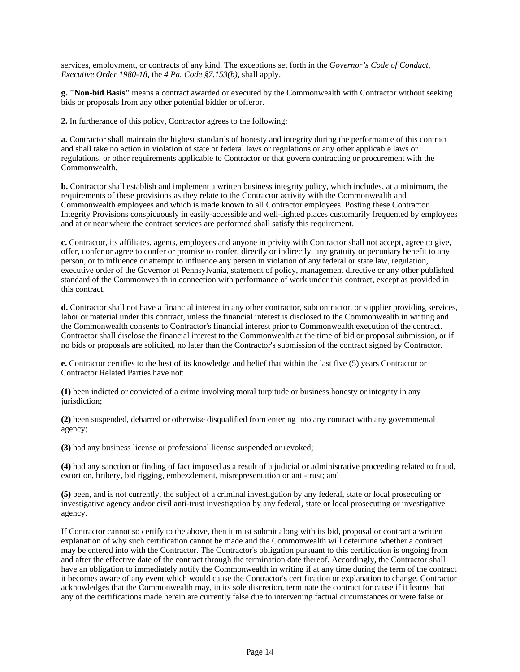services, employment, or contracts of any kind. The exceptions set forth in the *Governor's Code of Conduct, Executive Order 1980-18*, the *4 Pa. Code §7.153(b)*, shall apply.

**g. "Non-bid Basis"** means a contract awarded or executed by the Commonwealth with Contractor without seeking bids or proposals from any other potential bidder or offeror.

**2.** In furtherance of this policy, Contractor agrees to the following:

**a.** Contractor shall maintain the highest standards of honesty and integrity during the performance of this contract and shall take no action in violation of state or federal laws or regulations or any other applicable laws or regulations, or other requirements applicable to Contractor or that govern contracting or procurement with the Commonwealth.

**b.** Contractor shall establish and implement a written business integrity policy, which includes, at a minimum, the requirements of these provisions as they relate to the Contractor activity with the Commonwealth and Commonwealth employees and which is made known to all Contractor employees. Posting these Contractor Integrity Provisions conspicuously in easily-accessible and well-lighted places customarily frequented by employees and at or near where the contract services are performed shall satisfy this requirement.

**c.** Contractor, its affiliates, agents, employees and anyone in privity with Contractor shall not accept, agree to give, offer, confer or agree to confer or promise to confer, directly or indirectly, any gratuity or pecuniary benefit to any person, or to influence or attempt to influence any person in violation of any federal or state law, regulation, executive order of the Governor of Pennsylvania, statement of policy, management directive or any other published standard of the Commonwealth in connection with performance of work under this contract, except as provided in this contract.

**d.** Contractor shall not have a financial interest in any other contractor, subcontractor, or supplier providing services, labor or material under this contract, unless the financial interest is disclosed to the Commonwealth in writing and the Commonwealth consents to Contractor's financial interest prior to Commonwealth execution of the contract. Contractor shall disclose the financial interest to the Commonwealth at the time of bid or proposal submission, or if no bids or proposals are solicited, no later than the Contractor's submission of the contract signed by Contractor.

**e.** Contractor certifies to the best of its knowledge and belief that within the last five (5) years Contractor or Contractor Related Parties have not:

**(1)** been indicted or convicted of a crime involving moral turpitude or business honesty or integrity in any jurisdiction;

**(2)** been suspended, debarred or otherwise disqualified from entering into any contract with any governmental agency;

**(3)** had any business license or professional license suspended or revoked;

**(4)** had any sanction or finding of fact imposed as a result of a judicial or administrative proceeding related to fraud, extortion, bribery, bid rigging, embezzlement, misrepresentation or anti-trust; and

**(5)** been, and is not currently, the subject of a criminal investigation by any federal, state or local prosecuting or investigative agency and/or civil anti-trust investigation by any federal, state or local prosecuting or investigative agency.

If Contractor cannot so certify to the above, then it must submit along with its bid, proposal or contract a written explanation of why such certification cannot be made and the Commonwealth will determine whether a contract may be entered into with the Contractor. The Contractor's obligation pursuant to this certification is ongoing from and after the effective date of the contract through the termination date thereof. Accordingly, the Contractor shall have an obligation to immediately notify the Commonwealth in writing if at any time during the term of the contract it becomes aware of any event which would cause the Contractor's certification or explanation to change. Contractor acknowledges that the Commonwealth may, in its sole discretion, terminate the contract for cause if it learns that any of the certifications made herein are currently false due to intervening factual circumstances or were false or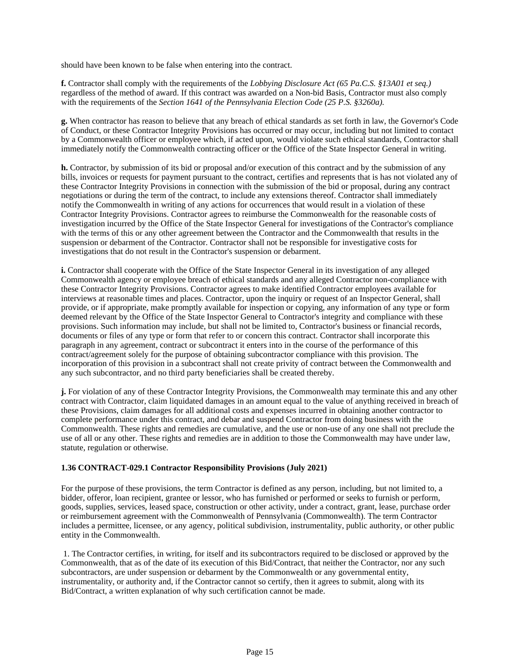should have been known to be false when entering into the contract.

**f.** Contractor shall comply with the requirements of the *Lobbying Disclosure Act (65 Pa.C.S. §13A01 et seq.)* regardless of the method of award. If this contract was awarded on a Non-bid Basis, Contractor must also comply with the requirements of the *Section 1641 of the Pennsylvania Election Code (25 P.S. §3260a).*

**g.** When contractor has reason to believe that any breach of ethical standards as set forth in law, the Governor's Code of Conduct, or these Contractor Integrity Provisions has occurred or may occur, including but not limited to contact by a Commonwealth officer or employee which, if acted upon, would violate such ethical standards, Contractor shall immediately notify the Commonwealth contracting officer or the Office of the State Inspector General in writing.

**h.** Contractor, by submission of its bid or proposal and/or execution of this contract and by the submission of any bills, invoices or requests for payment pursuant to the contract, certifies and represents that is has not violated any of these Contractor Integrity Provisions in connection with the submission of the bid or proposal, during any contract negotiations or during the term of the contract, to include any extensions thereof. Contractor shall immediately notify the Commonwealth in writing of any actions for occurrences that would result in a violation of these Contractor Integrity Provisions. Contractor agrees to reimburse the Commonwealth for the reasonable costs of investigation incurred by the Office of the State Inspector General for investigations of the Contractor's compliance with the terms of this or any other agreement between the Contractor and the Commonwealth that results in the suspension or debarment of the Contractor. Contractor shall not be responsible for investigative costs for investigations that do not result in the Contractor's suspension or debarment.

**i.** Contractor shall cooperate with the Office of the State Inspector General in its investigation of any alleged Commonwealth agency or employee breach of ethical standards and any alleged Contractor non-compliance with these Contractor Integrity Provisions. Contractor agrees to make identified Contractor employees available for interviews at reasonable times and places. Contractor, upon the inquiry or request of an Inspector General, shall provide, or if appropriate, make promptly available for inspection or copying, any information of any type or form deemed relevant by the Office of the State Inspector General to Contractor's integrity and compliance with these provisions. Such information may include, but shall not be limited to, Contractor's business or financial records, documents or files of any type or form that refer to or concern this contract. Contractor shall incorporate this paragraph in any agreement, contract or subcontract it enters into in the course of the performance of this contract/agreement solely for the purpose of obtaining subcontractor compliance with this provision. The incorporation of this provision in a subcontract shall not create privity of contract between the Commonwealth and any such subcontractor, and no third party beneficiaries shall be created thereby.

**j.** For violation of any of these Contractor Integrity Provisions, the Commonwealth may terminate this and any other contract with Contractor, claim liquidated damages in an amount equal to the value of anything received in breach of these Provisions, claim damages for all additional costs and expenses incurred in obtaining another contractor to complete performance under this contract, and debar and suspend Contractor from doing business with the Commonwealth. These rights and remedies are cumulative, and the use or non-use of any one shall not preclude the use of all or any other. These rights and remedies are in addition to those the Commonwealth may have under law, statute, regulation or otherwise.

### **1.36 CONTRACT-029.1 Contractor Responsibility Provisions (July 2021)**

For the purpose of these provisions, the term Contractor is defined as any person, including, but not limited to, a bidder, offeror, loan recipient, grantee or lessor, who has furnished or performed or seeks to furnish or perform, goods, supplies, services, leased space, construction or other activity, under a contract, grant, lease, purchase order or reimbursement agreement with the Commonwealth of Pennsylvania (Commonwealth). The term Contractor includes a permittee, licensee, or any agency, political subdivision, instrumentality, public authority, or other public entity in the Commonwealth.

1. The Contractor certifies, in writing, for itself and its subcontractors required to be disclosed or approved by the Commonwealth, that as of the date of its execution of this Bid/Contract, that neither the Contractor, nor any such subcontractors, are under suspension or debarment by the Commonwealth or any governmental entity, instrumentality, or authority and, if the Contractor cannot so certify, then it agrees to submit, along with its Bid/Contract, a written explanation of why such certification cannot be made.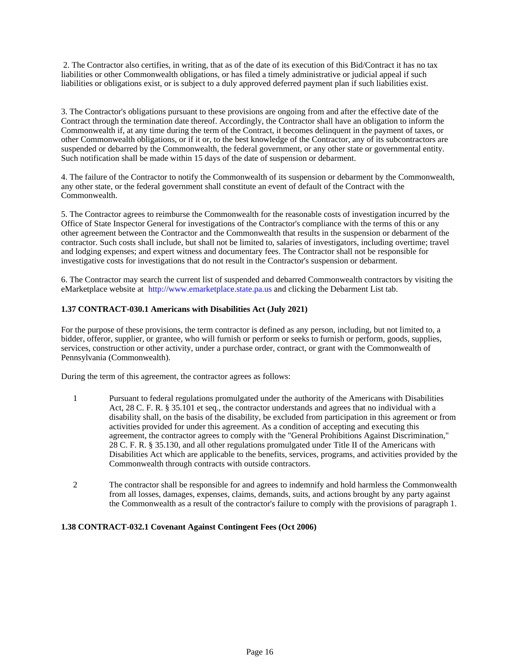2. The Contractor also certifies, in writing, that as of the date of its execution of this Bid/Contract it has no tax liabilities or other Commonwealth obligations, or has filed a timely administrative or judicial appeal if such liabilities or obligations exist, or is subject to a duly approved deferred payment plan if such liabilities exist.

3. The Contractor's obligations pursuant to these provisions are ongoing from and after the effective date of the Contract through the termination date thereof. Accordingly, the Contractor shall have an obligation to inform the Commonwealth if, at any time during the term of the Contract, it becomes delinquent in the payment of taxes, or other Commonwealth obligations, or if it or, to the best knowledge of the Contractor, any of its subcontractors are suspended or debarred by the Commonwealth, the federal government, or any other state or governmental entity. Such notification shall be made within 15 days of the date of suspension or debarment.

4. The failure of the Contractor to notify the Commonwealth of its suspension or debarment by the Commonwealth, any other state, or the federal government shall constitute an event of default of the Contract with the Commonwealth.

5. The Contractor agrees to reimburse the Commonwealth for the reasonable costs of investigation incurred by the Office of State Inspector General for investigations of the Contractor's compliance with the terms of this or any other agreement between the Contractor and the Commonwealth that results in the suspension or debarment of the contractor. Such costs shall include, but shall not be limited to, salaries of investigators, including overtime; travel and lodging expenses; and expert witness and documentary fees. The Contractor shall not be responsible for investigative costs for investigations that do not result in the Contractor's suspension or debarment.

6. The Contractor may search the current list of suspended and debarred Commonwealth contractors by visiting the eMarketplace website at http://www.emarketplace.state.pa.us and clicking the Debarment List tab.

# **1.37 CONTRACT-030.1 Americans with Disabilities Act (July 2021)**

For the purpose of these provisions, the term contractor is defined as any person, including, but not limited to, a bidder, offeror, supplier, or grantee, who will furnish or perform or seeks to furnish or perform, goods, supplies, services, construction or other activity, under a purchase order, contract, or grant with the Commonwealth of Pennsylvania (Commonwealth).

During the term of this agreement, the contractor agrees as follows:

- 1 Pursuant to federal regulations promulgated under the authority of the Americans with Disabilities Act, 28 C. F. R. § 35.101 et seq., the contractor understands and agrees that no individual with a disability shall, on the basis of the disability, be excluded from participation in this agreement or from activities provided for under this agreement. As a condition of accepting and executing this agreement, the contractor agrees to comply with the "General Prohibitions Against Discrimination," 28 C. F. R. § 35.130, and all other regulations promulgated under Title II of the Americans with Disabilities Act which are applicable to the benefits, services, programs, and activities provided by the Commonwealth through contracts with outside contractors.
- 2 The contractor shall be responsible for and agrees to indemnify and hold harmless the Commonwealth from all losses, damages, expenses, claims, demands, suits, and actions brought by any party against the Commonwealth as a result of the contractor's failure to comply with the provisions of paragraph 1.

# **1.38 CONTRACT-032.1 Covenant Against Contingent Fees (Oct 2006)**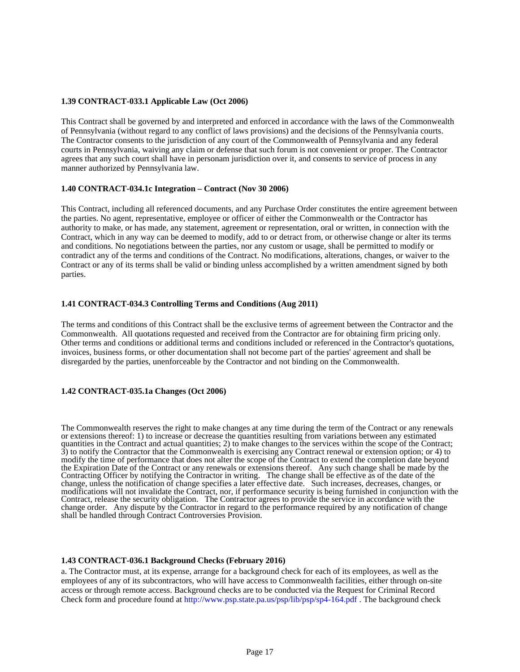### **1.39 CONTRACT-033.1 Applicable Law (Oct 2006)**

This Contract shall be governed by and interpreted and enforced in accordance with the laws of the Commonwealth of Pennsylvania (without regard to any conflict of laws provisions) and the decisions of the Pennsylvania courts. The Contractor consents to the jurisdiction of any court of the Commonwealth of Pennsylvania and any federal courts in Pennsylvania, waiving any claim or defense that such forum is not convenient or proper. The Contractor agrees that any such court shall have in personam jurisdiction over it, and consents to service of process in any manner authorized by Pennsylvania law.

### **1.40 CONTRACT-034.1c Integration – Contract (Nov 30 2006)**

This Contract, including all referenced documents, and any Purchase Order constitutes the entire agreement between the parties. No agent, representative, employee or officer of either the Commonwealth or the Contractor has authority to make, or has made, any statement, agreement or representation, oral or written, in connection with the Contract, which in any way can be deemed to modify, add to or detract from, or otherwise change or alter its terms and conditions. No negotiations between the parties, nor any custom or usage, shall be permitted to modify or contradict any of the terms and conditions of the Contract. No modifications, alterations, changes, or waiver to the Contract or any of its terms shall be valid or binding unless accomplished by a written amendment signed by both parties.

### **1.41 CONTRACT-034.3 Controlling Terms and Conditions (Aug 2011)**

The terms and conditions of this Contract shall be the exclusive terms of agreement between the Contractor and the Commonwealth. All quotations requested and received from the Contractor are for obtaining firm pricing only. Other terms and conditions or additional terms and conditions included or referenced in the Contractor's quotations, invoices, business forms, or other documentation shall not become part of the parties' agreement and shall be disregarded by the parties, unenforceable by the Contractor and not binding on the Commonwealth.

# **1.42 CONTRACT-035.1a Changes (Oct 2006)**

The Commonwealth reserves the right to make changes at any time during the term of the Contract or any renewals or extensions thereof: 1) to increase or decrease the quantities resulting from variations between any estimated quantities in the Contract and actual quantities; 2) to make changes to the services within the scope of the Contract; 3) to notify the Contractor that the Commonwealth is exercising any Contract renewal or extension option; or 4) to modify the time of performance that does not alter the scope of the Contract to extend the completion date beyond the Expiration Date of the Contract or any renewals or extensions thereof. Any such change shall be made by the Contracting Officer by notifying the Contractor in writing. The change shall be effective as of the date of the change, unless the notification of change specifies a later effective date. Such increases, decreases, changes, or modifications will not invalidate the Contract, nor, if performance security is being furnished in conjunction with the Contract, release the security obligation. The Contractor agrees to provide the service in accordance with the change order. Any dispute by the Contractor in regard to the performance required by any notification of change shall be handled through Contract Controversies Provision.

### **1.43 CONTRACT-036.1 Background Checks (February 2016)**

a. The Contractor must, at its expense, arrange for a background check for each of its employees, as well as the employees of any of its subcontractors, who will have access to Commonwealth facilities, either through on-site access or through remote access. Background checks are to be conducted via the Request for Criminal Record Check form and procedure found at http://www.psp.state.pa.us/psp/lib/psp/sp4-164.pdf . The background check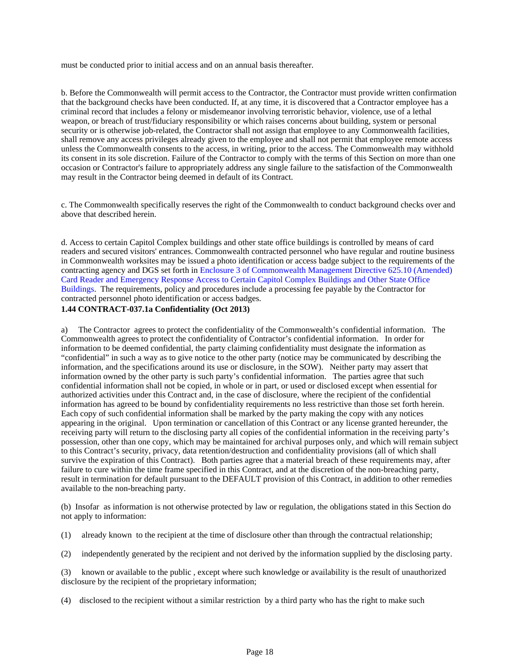must be conducted prior to initial access and on an annual basis thereafter.

b. Before the Commonwealth will permit access to the Contractor, the Contractor must provide written confirmation that the background checks have been conducted. If, at any time, it is discovered that a Contractor employee has a criminal record that includes a felony or misdemeanor involving terroristic behavior, violence, use of a lethal weapon, or breach of trust/fiduciary responsibility or which raises concerns about building, system or personal security or is otherwise job-related, the Contractor shall not assign that employee to any Commonwealth facilities, shall remove any access privileges already given to the employee and shall not permit that employee remote access unless the Commonwealth consents to the access, in writing, prior to the access. The Commonwealth may withhold its consent in its sole discretion. Failure of the Contractor to comply with the terms of this Section on more than one occasion or Contractor's failure to appropriately address any single failure to the satisfaction of the Commonwealth may result in the Contractor being deemed in default of its Contract.

c. The Commonwealth specifically reserves the right of the Commonwealth to conduct background checks over and above that described herein.

d. Access to certain Capitol Complex buildings and other state office buildings is controlled by means of card readers and secured visitors' entrances. Commonwealth contracted personnel who have regular and routine business in Commonwealth worksites may be issued a photo identification or access badge subject to the requirements of the contracting agency and DGS set forth in Enclosure 3 of Commonwealth Management Directive 625.10 (Amended) Card Reader and Emergency Response Access to Certain Capitol Complex Buildings and Other State Office Buildings. The requirements, policy and procedures include a processing fee payable by the Contractor for contracted personnel photo identification or access badges.

### **1.44 CONTRACT-037.1a Confidentiality (Oct 2013)**

a) The Contractor agrees to protect the confidentiality of the Commonwealth's confidential information. The Commonwealth agrees to protect the confidentiality of Contractor's confidential information. In order for information to be deemed confidential, the party claiming confidentiality must designate the information as "confidential" in such a way as to give notice to the other party (notice may be communicated by describing the information, and the specifications around its use or disclosure, in the SOW). Neither party may assert that information owned by the other party is such party's confidential information. The parties agree that such confidential information shall not be copied, in whole or in part, or used or disclosed except when essential for authorized activities under this Contract and, in the case of disclosure, where the recipient of the confidential information has agreed to be bound by confidentiality requirements no less restrictive than those set forth herein. Each copy of such confidential information shall be marked by the party making the copy with any notices appearing in the original. Upon termination or cancellation of this Contract or any license granted hereunder, the receiving party will return to the disclosing party all copies of the confidential information in the receiving party's possession, other than one copy, which may be maintained for archival purposes only, and which will remain subject to this Contract's security, privacy, data retention/destruction and confidentiality provisions (all of which shall survive the expiration of this Contract). Both parties agree that a material breach of these requirements may, after failure to cure within the time frame specified in this Contract, and at the discretion of the non-breaching party, result in termination for default pursuant to the DEFAULT provision of this Contract, in addition to other remedies available to the non-breaching party.

(b) Insofar as information is not otherwise protected by law or regulation, the obligations stated in this Section do not apply to information:

- (1) already known to the recipient at the time of disclosure other than through the contractual relationship;
- (2) independently generated by the recipient and not derived by the information supplied by the disclosing party.

(3) known or available to the public , except where such knowledge or availability is the result of unauthorized disclosure by the recipient of the proprietary information;

(4) disclosed to the recipient without a similar restriction by a third party who has the right to make such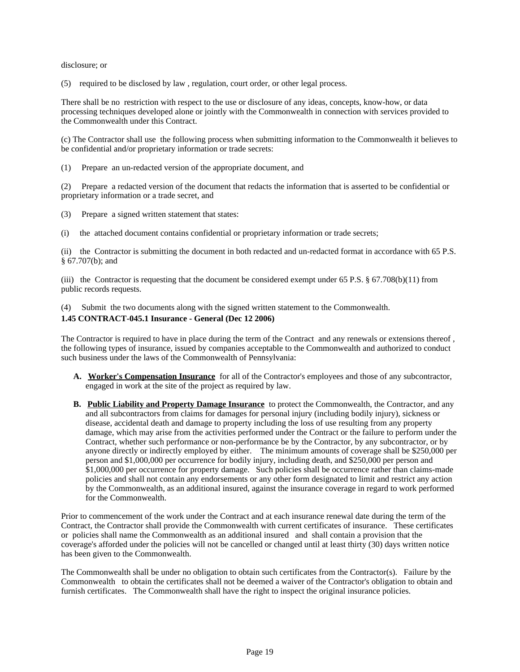disclosure; or

(5) required to be disclosed by law , regulation, court order, or other legal process.

There shall be no restriction with respect to the use or disclosure of any ideas, concepts, know-how, or data processing techniques developed alone or jointly with the Commonwealth in connection with services provided to the Commonwealth under this Contract.

(c) The Contractor shall use the following process when submitting information to the Commonwealth it believes to be confidential and/or proprietary information or trade secrets:

(1) Prepare an un-redacted version of the appropriate document, and

(2) Prepare a redacted version of the document that redacts the information that is asserted to be confidential or proprietary information or a trade secret, and

(3) Prepare a signed written statement that states:

(i) the attached document contains confidential or proprietary information or trade secrets;

(ii) the Contractor is submitting the document in both redacted and un-redacted format in accordance with 65 P.S. § 67.707(b); and

(iii) the Contractor is requesting that the document be considered exempt under 65 P.S.  $\S$  67.708(b)(11) from public records requests.

(4) Submit the two documents along with the signed written statement to the Commonwealth.

# **1.45 CONTRACT-045.1 Insurance - General (Dec 12 2006)**

The Contractor is required to have in place during the term of the Contract and any renewals or extensions thereof , the following types of insurance, issued by companies acceptable to the Commonwealth and authorized to conduct such business under the laws of the Commonwealth of Pennsylvania:

- **A. Worker's Compensation Insurance** for all of the Contractor's employees and those of any subcontractor, engaged in work at the site of the project as required by law.
- **B. Public Liability and Property Damage Insurance** to protect the Commonwealth, the Contractor, and any and all subcontractors from claims for damages for personal injury (including bodily injury), sickness or disease, accidental death and damage to property including the loss of use resulting from any property damage, which may arise from the activities performed under the Contract or the failure to perform under the Contract, whether such performance or non-performance be by the Contractor, by any subcontractor, or by anyone directly or indirectly employed by either. The minimum amounts of coverage shall be \$250,000 per person and \$1,000,000 per occurrence for bodily injury, including death, and \$250,000 per person and \$1,000,000 per occurrence for property damage. Such policies shall be occurrence rather than claims-made policies and shall not contain any endorsements or any other form designated to limit and restrict any action by the Commonwealth, as an additional insured, against the insurance coverage in regard to work performed for the Commonwealth.

Prior to commencement of the work under the Contract and at each insurance renewal date during the term of the Contract, the Contractor shall provide the Commonwealth with current certificates of insurance. These certificates or policies shall name the Commonwealth as an additional insured and shall contain a provision that the coverage's afforded under the policies will not be cancelled or changed until at least thirty (30) days written notice has been given to the Commonwealth.

The Commonwealth shall be under no obligation to obtain such certificates from the Contractor(s). Failure by the Commonwealth to obtain the certificates shall not be deemed a waiver of the Contractor's obligation to obtain and furnish certificates. The Commonwealth shall have the right to inspect the original insurance policies.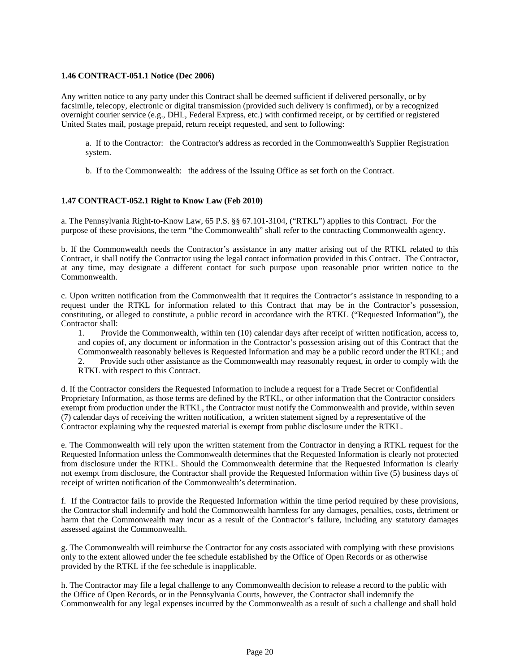### **1.46 CONTRACT-051.1 Notice (Dec 2006)**

Any written notice to any party under this Contract shall be deemed sufficient if delivered personally, or by facsimile, telecopy, electronic or digital transmission (provided such delivery is confirmed), or by a recognized overnight courier service (e.g., DHL, Federal Express, etc.) with confirmed receipt, or by certified or registered United States mail, postage prepaid, return receipt requested, and sent to following:

a. If to the Contractor: the Contractor's address as recorded in the Commonwealth's Supplier Registration system.

b. If to the Commonwealth: the address of the Issuing Office as set forth on the Contract.

# **1.47 CONTRACT-052.1 Right to Know Law (Feb 2010)**

a. The Pennsylvania Right-to-Know Law, 65 P.S. §§ 67.101-3104, ("RTKL") applies to this Contract. For the purpose of these provisions, the term "the Commonwealth" shall refer to the contracting Commonwealth agency.

b. If the Commonwealth needs the Contractor's assistance in any matter arising out of the RTKL related to this Contract, it shall notify the Contractor using the legal contact information provided in this Contract. The Contractor, at any time, may designate a different contact for such purpose upon reasonable prior written notice to the Commonwealth.

c. Upon written notification from the Commonwealth that it requires the Contractor's assistance in responding to a request under the RTKL for information related to this Contract that may be in the Contractor's possession, constituting, or alleged to constitute, a public record in accordance with the RTKL ("Requested Information"), the Contractor shall:

1. Provide the Commonwealth, within ten (10) calendar days after receipt of written notification, access to, and copies of, any document or information in the Contractor's possession arising out of this Contract that the Commonwealth reasonably believes is Requested Information and may be a public record under the RTKL; and 2. Provide such other assistance as the Commonwealth may reasonably request, in order to comply with the RTKL with respect to this Contract.

d. If the Contractor considers the Requested Information to include a request for a Trade Secret or Confidential Proprietary Information, as those terms are defined by the RTKL, or other information that the Contractor considers exempt from production under the RTKL, the Contractor must notify the Commonwealth and provide, within seven (7) calendar days of receiving the written notification, a written statement signed by a representative of the Contractor explaining why the requested material is exempt from public disclosure under the RTKL.

e. The Commonwealth will rely upon the written statement from the Contractor in denying a RTKL request for the Requested Information unless the Commonwealth determines that the Requested Information is clearly not protected from disclosure under the RTKL. Should the Commonwealth determine that the Requested Information is clearly not exempt from disclosure, the Contractor shall provide the Requested Information within five (5) business days of receipt of written notification of the Commonwealth's determination.

f. If the Contractor fails to provide the Requested Information within the time period required by these provisions, the Contractor shall indemnify and hold the Commonwealth harmless for any damages, penalties, costs, detriment or harm that the Commonwealth may incur as a result of the Contractor's failure, including any statutory damages assessed against the Commonwealth.

g. The Commonwealth will reimburse the Contractor for any costs associated with complying with these provisions only to the extent allowed under the fee schedule established by the Office of Open Records or as otherwise provided by the RTKL if the fee schedule is inapplicable.

h. The Contractor may file a legal challenge to any Commonwealth decision to release a record to the public with the Office of Open Records, or in the Pennsylvania Courts, however, the Contractor shall indemnify the Commonwealth for any legal expenses incurred by the Commonwealth as a result of such a challenge and shall hold